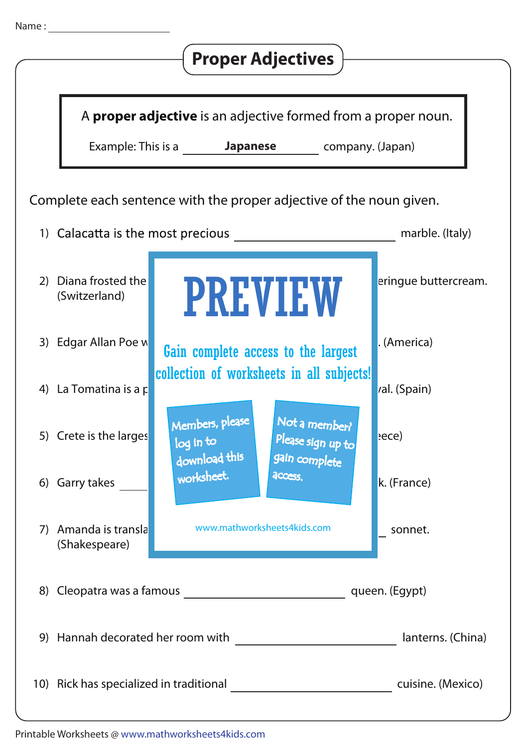|                                                                     |                                    |                                                                                                                                           | <b>Proper Adjectives</b>                                                          |                      |  |  |
|---------------------------------------------------------------------|------------------------------------|-------------------------------------------------------------------------------------------------------------------------------------------|-----------------------------------------------------------------------------------|----------------------|--|--|
|                                                                     | Example: This is a <b>Japanese</b> |                                                                                                                                           | A proper adjective is an adjective formed from a proper noun.<br>company. (Japan) |                      |  |  |
| Complete each sentence with the proper adjective of the noun given. |                                    |                                                                                                                                           |                                                                                   |                      |  |  |
|                                                                     | 1) Calacatta is the most precious  |                                                                                                                                           |                                                                                   | marble. (Italy)      |  |  |
| Diana frosted the<br>2)<br>(Switzerland)                            |                                    |                                                                                                                                           | <b>PREVIEW</b>                                                                    | eringue buttercream. |  |  |
| Edgar Allan Poe w<br>3)                                             |                                    |                                                                                                                                           | Gain complete access to the largest                                               | . (America)          |  |  |
| 4) La Tomatina is a p                                               |                                    |                                                                                                                                           | collection of worksheets in all subjects!                                         | val. (Spain)         |  |  |
| 5) Crete is the larges                                              | log in to                          | Members, please<br>download this                                                                                                          | Not a member?<br>Please sign up to<br>gain complete                               | $ $ ece)             |  |  |
| 6) Garry takes                                                      |                                    | worksheet.                                                                                                                                | access.                                                                           | k. (France)          |  |  |
| Amanda is transla<br>7)<br>(Shakespeare)                            |                                    | www.mathworksheets4kids.com                                                                                                               |                                                                                   | sonnet.              |  |  |
|                                                                     |                                    |                                                                                                                                           |                                                                                   |                      |  |  |
|                                                                     | 9) Hannah decorated her room with  | lanterns. (China)<br><u> 1980 - Jan Stein Stein Stein Stein Stein Stein Stein Stein Stein Stein Stein Stein Stein Stein Stein Stein S</u> |                                                                                   |                      |  |  |
|                                                                     |                                    | 10) Rick has specialized in traditional example and the cuisine. (Mexico)                                                                 |                                                                                   |                      |  |  |

Name :